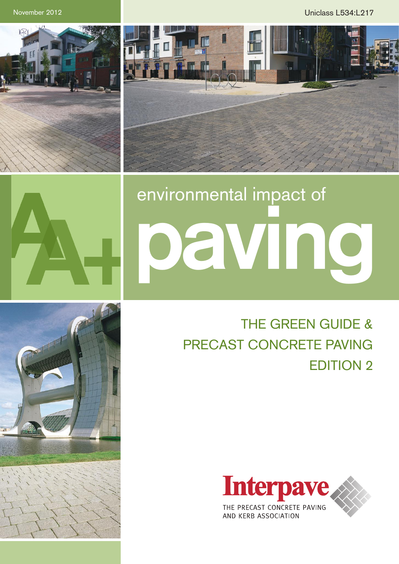November 2012 Uniclass L534:L217







# environmental impact of **paving**

# THE GREEN GUIDE & PRECAST CONCRETE PAVING EDITION 2



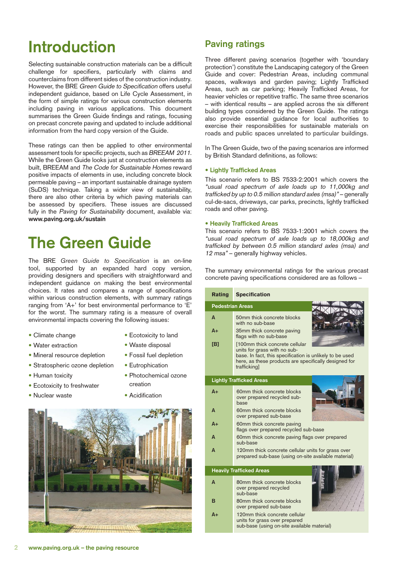## **Introduction**

Selecting sustainable construction materials can be a difficult challenge for specifiers, particularly with claims and counterclaims from different sides of the construction industry. However, the BRE Green Guide to Specification offers useful independent guidance, based on Life Cycle Assessment, in the form of simple ratings for various construction elements including paving in various applications. This document summarises the Green Guide findings and ratings, focusing on precast concrete paving and updated to include additional information from the hard copy version of the Guide.

These ratings can then be applied to other environmental assessment tools for specific projects, such as BREEAM 2011. While the Green Guide looks just at construction elements as built, BREEAM and The Code for Sustainable Homes reward positive impacts of elements in use, including concrete block permeable paving – an important sustainable drainage system (SuDS) technique. Taking a wider view of sustainability, there are also other criteria by which paving materials can be assessed by specifiers. These issues are discussed fully in the Paving for Sustainability document, available via: **[www.paving.org.uk/sustain](http://www.paving.org.uk/sustain)**

## **The Green Guide**

The BRE *Green Guide to Specification* is an on-line tool, supported by an expanded hard copy version, providing designers and specifiers with straightforward and independent guidance on making the best environmental choices. It rates and compares a range of specifications within various construction elements, with summary ratings ranging from 'A+' for best environmental performance to 'E' for the worst. The summary rating is a measure of overall environmental impacts covering the following issues:

- Climate change
- Water extraction
- Mineral resource depletion
- Stratospheric ozone depletion
- Human toxicity
- Ecotoxicity to freshwater
- Nuclear waste
- Ecotoxicity to land
- Waste disposal
- Fossil fuel depletion
- Eutrophication
- Photochemical ozone creation
- Acidification



### **Paving ratings**

Three different paving scenarios (together with 'boundary protection') constitute the Landscaping category of the Green Guide and cover: Pedestrian Areas, including communal spaces, walkways and garden paving; Lightly Trafficked Areas, such as car parking; Heavily Trafficked Areas, for heavier vehicles or repetitive traffic. The same three scenarios – with identical results – are applied across the six different building types considered by the Green Guide. The ratings also provide essential guidance for local authorities to exercise their responsibilities for sustainable materials on roads and public spaces unrelated to particular buildings.

In The Green Guide, two of the paving scenarios are informed by British Standard definitions, as follows:

#### **• Lightly Trafficked Areas**

This scenario refers to BS 7533-2:2001 which covers the "usual road spectrum of axle loads up to 11,000kg and trafficked by up to 0.5 million standard axles (msa)" – generally cul-de-sacs, driveways, car parks, precincts, lightly trafficked roads and other paving.

#### **• Heavily Trafficked Areas**

This scenario refers to BS 7533-1:2001 which covers the "usual road spectrum of axle loads up to 18,000kg and trafficked by between 0.5 million standard axles (msa) and 12 msa" – generally highway vehicles.

The summary environmental ratings for the various precast concrete paving specifications considered are as follows –

| <b>Rating</b>                   | <b>Specification</b>                                                                                                                                                                               |
|---------------------------------|----------------------------------------------------------------------------------------------------------------------------------------------------------------------------------------------------|
| <b>Pedestrian Areas</b>         |                                                                                                                                                                                                    |
| A                               | 50mm thick concrete blocks<br>with no sub-base                                                                                                                                                     |
| $A+$                            | 35mm thick concrete paving<br>flags with no sub-base                                                                                                                                               |
| [B]                             | [100mm thick concrete cellular<br>units for grass with no sub-<br>base. In fact, this specification is unlikely to be used<br>here, as these products are specifically designed for<br>trafficking |
| <b>Lightly Trafficked Areas</b> |                                                                                                                                                                                                    |
| $A+$                            | 60mm thick concrete blocks<br>over prepared recycled sub-<br>base                                                                                                                                  |
| A                               | 60mm thick concrete blocks<br>over prepared sub-base                                                                                                                                               |
| $A+$                            | 60mm thick concrete paving<br>flags over prepared recycled sub-base                                                                                                                                |
| A                               | 60mm thick concrete paving flags over prepared<br>sub-base                                                                                                                                         |
| A                               | 120mm thick concrete cellular units for grass over<br>prepared sub-base (using on-site available material)                                                                                         |
| <b>Heavily Trafficked Areas</b> |                                                                                                                                                                                                    |
| A                               | 80mm thick concrete blocks<br>over prepared recycled<br>sub-base                                                                                                                                   |
| в                               | 80mm thick concrete blocks<br>over prepared sub-base                                                                                                                                               |
| A+                              | 120mm thick concrete cellular<br>units for grass over prepared<br>sub-base (using on-site available material)                                                                                      |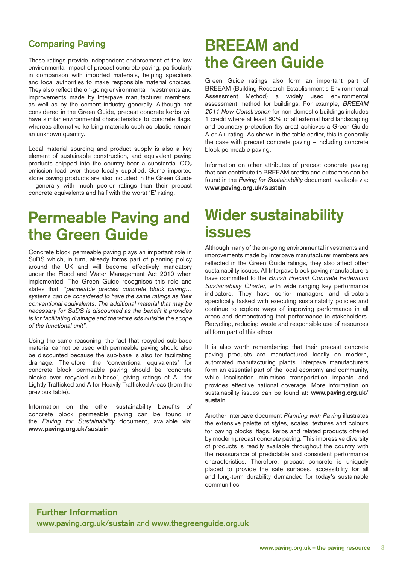## **Comparing Paving**

These ratings provide independent endorsement of the low environmental impact of precast concrete paving, particularly in comparison with imported materials, helping specifiers and local authorities to make responsible material choices. They also reflect the on-going environmental investments and improvements made by Interpave manufacturer members, as well as by the cement industry generally. Although not considered in the Green Guide, precast concrete kerbs will have similar environmental characteristics to concrete flags, whereas alternative kerbing materials such as plastic remain an unknown quantity.

Local material sourcing and product supply is also a key element of sustainable construction, and equivalent paving products shipped into the country bear a substantial  $CO<sub>2</sub>$ emission load over those locally supplied. Some imported stone paving products are also included in the Green Guide – generally with much poorer ratings than their precast concrete equivalents and half with the worst 'E' rating.

## **Permeable Paving and the Green Guide**

Concrete block permeable paving plays an important role in SuDS which, in turn, already forms part of planning policy around the UK and will become effectively mandatory under the Flood and Water Management Act 2010 when implemented. The Green Guide recognises this role and states that: "permeable precast concrete block paving… systems can be considered to have the same ratings as their conventional equivalents. The additional material that may be necessary for SuDS is discounted as the benefit it provides is for facilitating drainage and therefore sits outside the scope of the functional unit".

Using the same reasoning, the fact that recycled sub-base material cannot be used with permeable paving should also be discounted because the sub-base is also for facilitating drainage. Therefore, the 'conventional equivalents' for concrete block permeable paving should be 'concrete blocks over recycled sub-base', giving ratings of A+ for Lightly Trafficked and A for Heavily Trafficked Areas (from the previous table).

Information on the other sustainability benefits of concrete block permeable paving can be found in the Paving for Sustainability document, available via: **[www.paving.org.uk/sustain](http://www.paving.org.uk/sustain )** 

## **BREEAM and the Green Guide**

Green Guide ratings also form an important part of BREEAM (Building Research Establishment's Environmental Assessment Method) a widely used environmental assessment method for buildings. For example, BREEAM 2011 New Construction for non-domestic buildings includes 1 credit where at least 80% of all external hard landscaping and boundary protection (by area) achieves a Green Guide A or A+ rating. As shown in the table earlier, this is generally the case with precast concrete paving – including concrete block permeable paving.

Information on other attributes of precast concrete paving that can contribute to BREEAM credits and outcomes can be found in the Paving for Sustainability document, available via: **[www.paving.org.uk/sustain](http://www.paving.org.uk/sustain)** 

## **Wider sustainability issues**

Although many of the on-going environmental investments and improvements made by Interpave manufacturer members are reflected in the Green Guide ratings, they also affect other sustainability issues. All Interpave block paving manufacturers have committed to the *British Precast Concrete Federation Sustainability Charter*, with wide ranging key performance indicators. They have senior managers and directors specifically tasked with executing sustainability policies and continue to explore ways of improving performance in all areas and demonstrating that performance to stakeholders. Recycling, reducing waste and responsible use of resources all form part of this ethos.

It is also worth remembering that their precast concrete paving products are manufactured locally on modern, automated manufacturing plants. Interpave manufacturers form an essential part of the local economy and community, while localisation minimises transportation impacts and provides effective national coverage. More information on sustainability issues can be found at: **[www.paving.org.uk/](http://www.paving.org.uk/sustain ) [sustain](http://www.paving.org.uk/sustain )**

Another Interpave document *Planning with Paving* illustrates the extensive palette of styles, scales, textures and colours for paving blocks, flags, kerbs and related products offered by modern precast concrete paving. This impressive diversity of products is readily available throughout the country with the reassurance of predictable and consistent performance characteristics. Therefore, precast concrete is uniquely placed to provide the safe surfaces, accessibility for all and long-term durability demanded for today's sustainable communities.